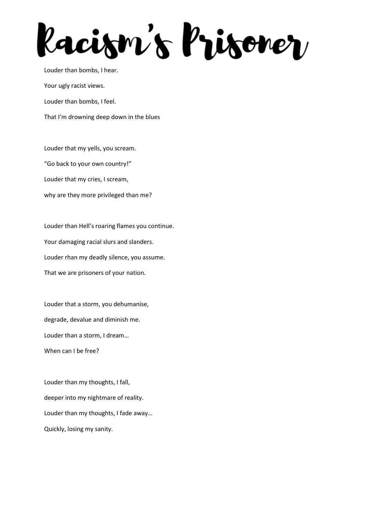lacism's lrisorer

Louder than bombs, I hear. Your ugly racist views. Louder than bombs, I feel. That I'm drowning deep down in the blues

Louder that my yells, you scream. "Go back to your own country!" Louder that my cries, I scream, why are they more privileged than me?

Louder than Hell's roaring flames you continue. Your damaging racial slurs and slanders. Louder rhan my deadly silence, you assume. That we are prisoners of your nation.

Louder that a storm, you dehumanise, degrade, devalue and diminish me. Louder than a storm, I dream… When can I be free?

Louder than my thoughts, I fall, deeper into my nightmare of reality. Louder than my thoughts, I fade away… Quickly, losing my sanity.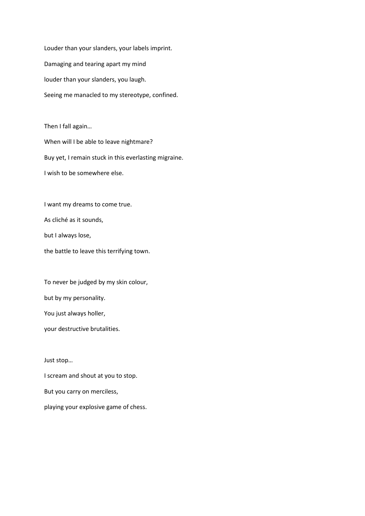Louder than your slanders, your labels imprint. Damaging and tearing apart my mind louder than your slanders, you laugh. Seeing me manacled to my stereotype, confined.

Then I fall again… When will I be able to leave nightmare? Buy yet, I remain stuck in this everlasting migraine. I wish to be somewhere else.

I want my dreams to come true.

As cliché as it sounds,

but I always lose,

the battle to leave this terrifying town.

To never be judged by my skin colour, but by my personality. You just always holler,

your destructive brutalities.

Just stop…

I scream and shout at you to stop. But you carry on merciless, playing your explosive game of chess.